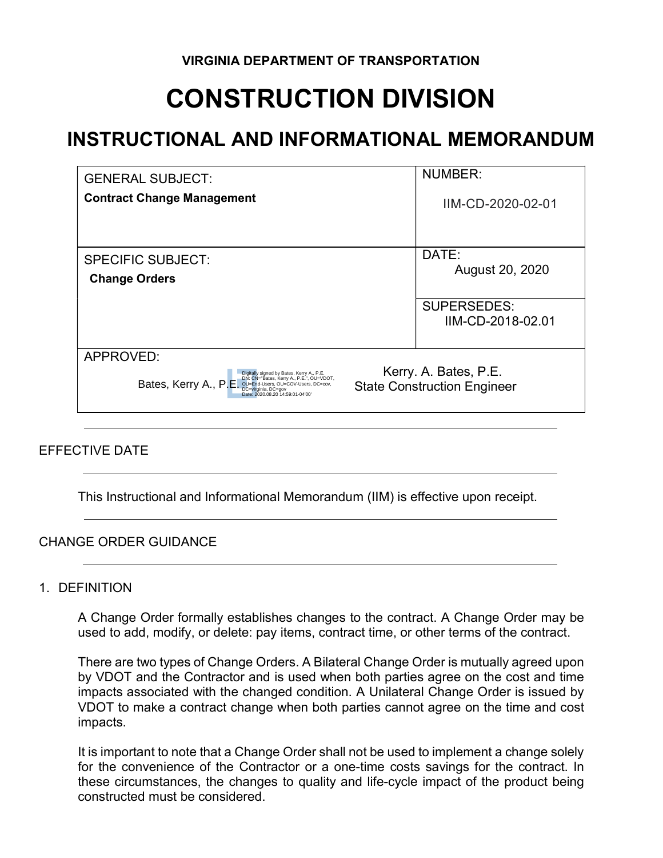# CONSTRUCTION DIVISION

# INSTRUCTIONAL AND INFORMATIONAL MEMORANDUM

| <b>GENERAL SUBJECT:</b>                                                                                                                                                                                                                                                                     | <b>NUMBER:</b>                          |
|---------------------------------------------------------------------------------------------------------------------------------------------------------------------------------------------------------------------------------------------------------------------------------------------|-----------------------------------------|
| <b>Contract Change Management</b>                                                                                                                                                                                                                                                           | IIM-CD-2020-02-01                       |
| <b>SPECIFIC SUBJECT:</b><br><b>Change Orders</b>                                                                                                                                                                                                                                            | DATE:<br>August 20, 2020                |
|                                                                                                                                                                                                                                                                                             | <b>SUPERSEDES:</b><br>IIM-CD-2018-02.01 |
| APPROVED:<br>Kerry. A. Bates, P.E.<br>Digitally signed by Bates, Kerry A., P.E.<br>DN: CN="Bates, Kerry A., P.E.", OU=VDOT,<br>OU=End-Users, OU=COV-Users, DC=cov,<br>DC=virginia, DC=gov<br>Bates, Kerry A., P.E<br><b>State Construction Engineer</b><br>Date: 2020.08.20 14:59:01-04'00' |                                         |

# EFFECTIVE DATE

This Instructional and Informational Memorandum (IIM) is effective upon receipt.

#### CHANGE ORDER GUIDANCE

#### 1. DEFINITION

A Change Order formally establishes changes to the contract. A Change Order may be used to add, modify, or delete: pay items, contract time, or other terms of the contract.

There are two types of Change Orders. A Bilateral Change Order is mutually agreed upon by VDOT and the Contractor and is used when both parties agree on the cost and time impacts associated with the changed condition. A Unilateral Change Order is issued by VDOT to make a contract change when both parties cannot agree on the time and cost impacts.

It is important to note that a Change Order shall not be used to implement a change solely for the convenience of the Contractor or a one-time costs savings for the contract. In these circumstances, the changes to quality and life-cycle impact of the product being constructed must be considered.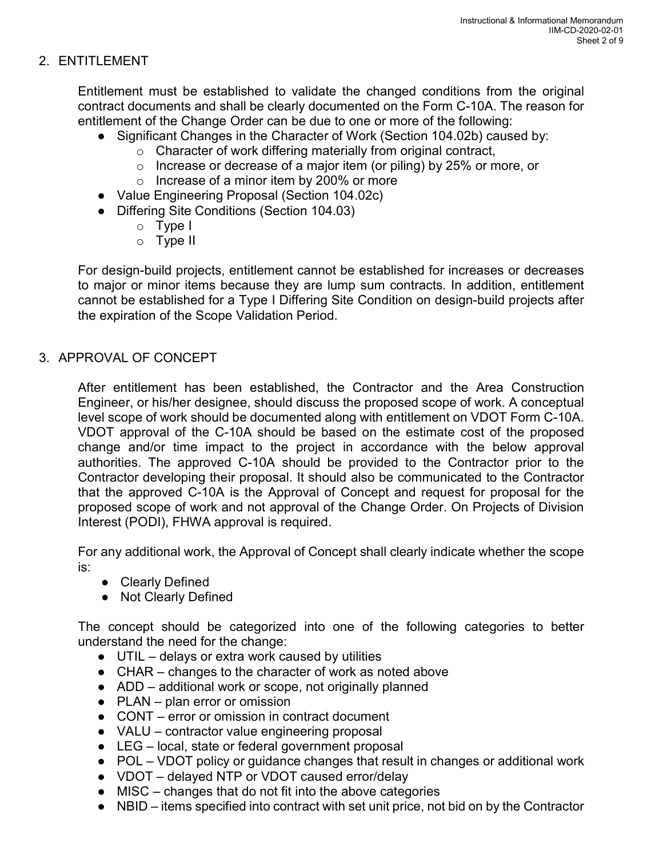# 2. ENTITLEMENT

Entitlement must be established to validate the changed conditions from the original contract documents and shall be clearly documented on the Form C-10A. The reason for entitlement of the Change Order can be due to one or more of the following:

- Significant Changes in the Character of Work (Section 104.02b) caused by:
	- o Character of work differing materially from original contract,
	- o Increase or decrease of a major item (or piling) by 25% or more, or
	- o Increase of a minor item by 200% or more
- Value Engineering Proposal (Section 104.02c)
- Differing Site Conditions (Section 104.03)
	- o Type I
	- o Type II

For design-build projects, entitlement cannot be established for increases or decreases to major or minor items because they are lump sum contracts. In addition, entitlement cannot be established for a Type I Differing Site Condition on design-build projects after the expiration of the Scope Validation Period.

# 3. APPROVAL OF CONCEPT

After entitlement has been established, the Contractor and the Area Construction Engineer, or his/her designee, should discuss the proposed scope of work. A conceptual level scope of work should be documented along with entitlement on VDOT Form C-10A. VDOT approval of the C-10A should be based on the estimate cost of the proposed change and/or time impact to the project in accordance with the below approval authorities. The approved C-10A should be provided to the Contractor prior to the Contractor developing their proposal. It should also be communicated to the Contractor that the approved C-10A is the Approval of Concept and request for proposal for the proposed scope of work and not approval of the Change Order. On Projects of Division Interest (PODI), FHWA approval is required.

For any additional work, the Approval of Concept shall clearly indicate whether the scope is:

- Clearly Defined
- Not Clearly Defined

The concept should be categorized into one of the following categories to better understand the need for the change:

- UTIL delays or extra work caused by utilities
- CHAR changes to the character of work as noted above
- ADD additional work or scope, not originally planned
- PLAN plan error or omission
- CONT error or omission in contract document
- VALU contractor value engineering proposal
- LEG local, state or federal government proposal
- POL VDOT policy or guidance changes that result in changes or additional work
- VDOT delayed NTP or VDOT caused error/delay
- MISC changes that do not fit into the above categories
- NBID items specified into contract with set unit price, not bid on by the Contractor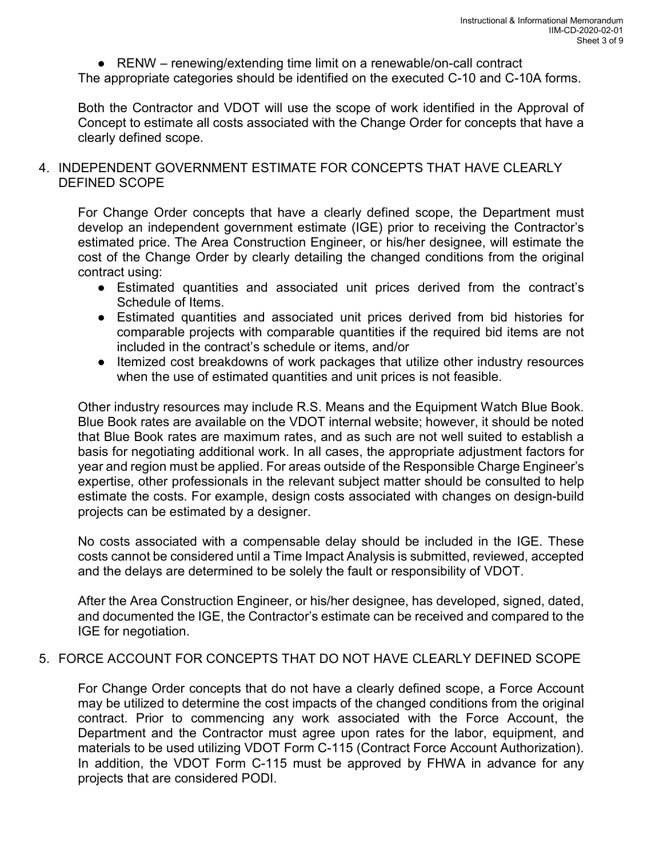● RENW – renewing/extending time limit on a renewable/on-call contract

The appropriate categories should be identified on the executed C-10 and C-10A forms.

Both the Contractor and VDOT will use the scope of work identified in the Approval of Concept to estimate all costs associated with the Change Order for concepts that have a clearly defined scope.

### 4. INDEPENDENT GOVERNMENT ESTIMATE FOR CONCEPTS THAT HAVE CLEARLY DEFINED SCOPE

 For Change Order concepts that have a clearly defined scope, the Department must develop an independent government estimate (IGE) prior to receiving the Contractor's estimated price. The Area Construction Engineer, or his/her designee, will estimate the cost of the Change Order by clearly detailing the changed conditions from the original contract using:

- Estimated quantities and associated unit prices derived from the contract's Schedule of Items.
- Estimated quantities and associated unit prices derived from bid histories for comparable projects with comparable quantities if the required bid items are not included in the contract's schedule or items, and/or
- Itemized cost breakdowns of work packages that utilize other industry resources when the use of estimated quantities and unit prices is not feasible.

Other industry resources may include R.S. Means and the Equipment Watch Blue Book. Blue Book rates are available on the VDOT internal website; however, it should be noted that Blue Book rates are maximum rates, and as such are not well suited to establish a basis for negotiating additional work. In all cases, the appropriate adjustment factors for year and region must be applied. For areas outside of the Responsible Charge Engineer's expertise, other professionals in the relevant subject matter should be consulted to help estimate the costs. For example, design costs associated with changes on design-build projects can be estimated by a designer.

No costs associated with a compensable delay should be included in the IGE. These costs cannot be considered until a Time Impact Analysis is submitted, reviewed, accepted and the delays are determined to be solely the fault or responsibility of VDOT.

After the Area Construction Engineer, or his/her designee, has developed, signed, dated, and documented the IGE, the Contractor's estimate can be received and compared to the IGE for negotiation.

# 5. FORCE ACCOUNT FOR CONCEPTS THAT DO NOT HAVE CLEARLY DEFINED SCOPE

For Change Order concepts that do not have a clearly defined scope, a Force Account may be utilized to determine the cost impacts of the changed conditions from the original contract. Prior to commencing any work associated with the Force Account, the Department and the Contractor must agree upon rates for the labor, equipment, and materials to be used utilizing VDOT Form C-115 (Contract Force Account Authorization). In addition, the VDOT Form C-115 must be approved by FHWA in advance for any projects that are considered PODI.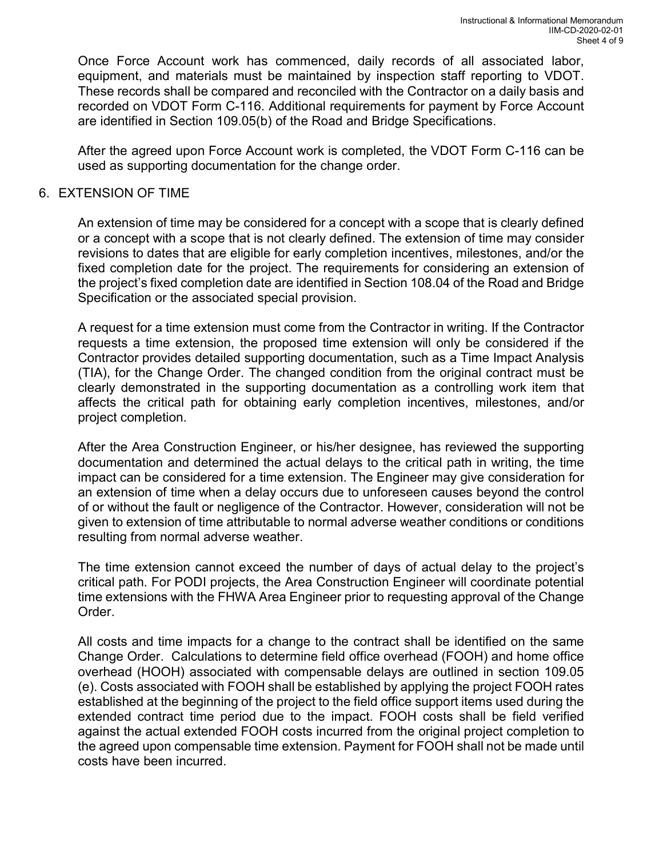Once Force Account work has commenced, daily records of all associated labor, equipment, and materials must be maintained by inspection staff reporting to VDOT. These records shall be compared and reconciled with the Contractor on a daily basis and recorded on VDOT Form C-116. Additional requirements for payment by Force Account are identified in Section 109.05(b) of the Road and Bridge Specifications.

After the agreed upon Force Account work is completed, the VDOT Form C-116 can be used as supporting documentation for the change order.

#### 6. EXTENSION OF TIME

 An extension of time may be considered for a concept with a scope that is clearly defined or a concept with a scope that is not clearly defined. The extension of time may consider revisions to dates that are eligible for early completion incentives, milestones, and/or the fixed completion date for the project. The requirements for considering an extension of the project's fixed completion date are identified in Section 108.04 of the Road and Bridge Specification or the associated special provision.

 A request for a time extension must come from the Contractor in writing. If the Contractor requests a time extension, the proposed time extension will only be considered if the Contractor provides detailed supporting documentation, such as a Time Impact Analysis (TIA), for the Change Order. The changed condition from the original contract must be clearly demonstrated in the supporting documentation as a controlling work item that affects the critical path for obtaining early completion incentives, milestones, and/or project completion.

 After the Area Construction Engineer, or his/her designee, has reviewed the supporting documentation and determined the actual delays to the critical path in writing, the time impact can be considered for a time extension. The Engineer may give consideration for an extension of time when a delay occurs due to unforeseen causes beyond the control of or without the fault or negligence of the Contractor. However, consideration will not be given to extension of time attributable to normal adverse weather conditions or conditions resulting from normal adverse weather.

 The time extension cannot exceed the number of days of actual delay to the project's critical path. For PODI projects, the Area Construction Engineer will coordinate potential time extensions with the FHWA Area Engineer prior to requesting approval of the Change Order.

 All costs and time impacts for a change to the contract shall be identified on the same Change Order. Calculations to determine field office overhead (FOOH) and home office overhead (HOOH) associated with compensable delays are outlined in section 109.05 (e). Costs associated with FOOH shall be established by applying the project FOOH rates established at the beginning of the project to the field office support items used during the extended contract time period due to the impact. FOOH costs shall be field verified against the actual extended FOOH costs incurred from the original project completion to the agreed upon compensable time extension. Payment for FOOH shall not be made until costs have been incurred.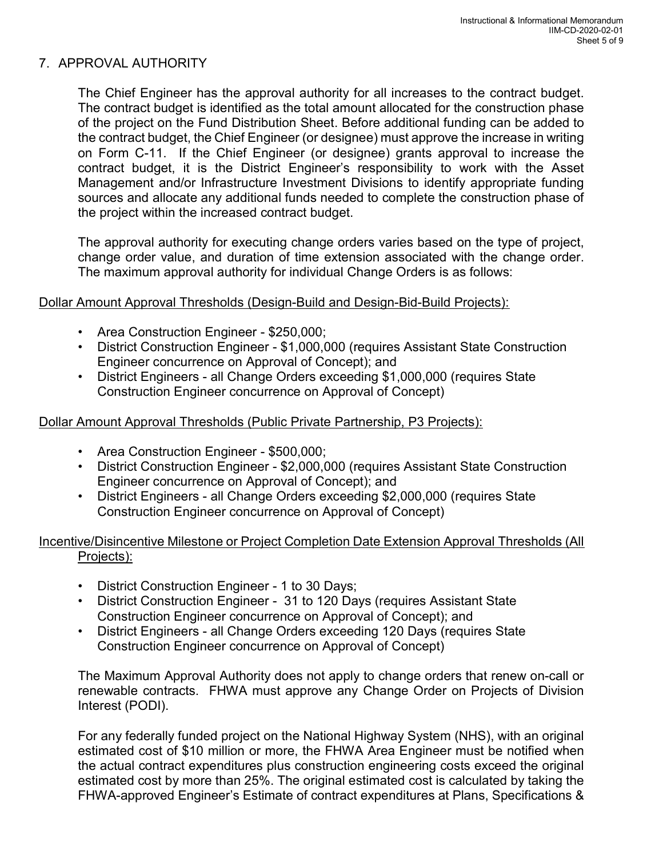# 7. APPROVAL AUTHORITY

 The Chief Engineer has the approval authority for all increases to the contract budget. The contract budget is identified as the total amount allocated for the construction phase of the project on the Fund Distribution Sheet. Before additional funding can be added to the contract budget, the Chief Engineer (or designee) must approve the increase in writing on Form C-11. If the Chief Engineer (or designee) grants approval to increase the contract budget, it is the District Engineer's responsibility to work with the Asset Management and/or Infrastructure Investment Divisions to identify appropriate funding sources and allocate any additional funds needed to complete the construction phase of the project within the increased contract budget.

 The approval authority for executing change orders varies based on the type of project, change order value, and duration of time extension associated with the change order. The maximum approval authority for individual Change Orders is as follows:

#### Dollar Amount Approval Thresholds (Design-Build and Design-Bid-Build Projects):

- Area Construction Engineer \$250,000;
- District Construction Engineer \$1,000,000 (requires Assistant State Construction Engineer concurrence on Approval of Concept); and
- District Engineers all Change Orders exceeding \$1,000,000 (requires State Construction Engineer concurrence on Approval of Concept)

### Dollar Amount Approval Thresholds (Public Private Partnership, P3 Projects):

- Area Construction Engineer \$500,000;
- District Construction Engineer \$2,000,000 (requires Assistant State Construction Engineer concurrence on Approval of Concept); and
- District Engineers all Change Orders exceeding \$2,000,000 (requires State Construction Engineer concurrence on Approval of Concept)

# Incentive/Disincentive Milestone or Project Completion Date Extension Approval Thresholds (All Projects):

- District Construction Engineer 1 to 30 Days;
- District Construction Engineer 31 to 120 Days (requires Assistant State Construction Engineer concurrence on Approval of Concept); and
- District Engineers all Change Orders exceeding 120 Days (requires State Construction Engineer concurrence on Approval of Concept)

The Maximum Approval Authority does not apply to change orders that renew on-call or renewable contracts. FHWA must approve any Change Order on Projects of Division Interest (PODI).

For any federally funded project on the National Highway System (NHS), with an original estimated cost of \$10 million or more, the FHWA Area Engineer must be notified when the actual contract expenditures plus construction engineering costs exceed the original estimated cost by more than 25%. The original estimated cost is calculated by taking the FHWA-approved Engineer's Estimate of contract expenditures at Plans, Specifications &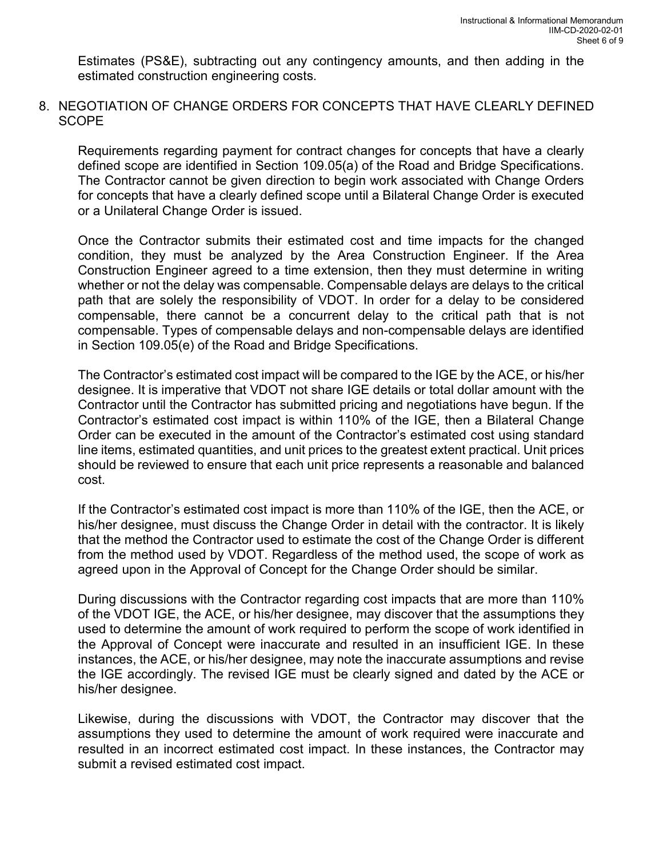Estimates (PS&E), subtracting out any contingency amounts, and then adding in the estimated construction engineering costs.

8. NEGOTIATION OF CHANGE ORDERS FOR CONCEPTS THAT HAVE CLEARLY DEFINED **SCOPE** 

Requirements regarding payment for contract changes for concepts that have a clearly defined scope are identified in Section 109.05(a) of the Road and Bridge Specifications. The Contractor cannot be given direction to begin work associated with Change Orders for concepts that have a clearly defined scope until a Bilateral Change Order is executed or a Unilateral Change Order is issued.

Once the Contractor submits their estimated cost and time impacts for the changed condition, they must be analyzed by the Area Construction Engineer. If the Area Construction Engineer agreed to a time extension, then they must determine in writing whether or not the delay was compensable. Compensable delays are delays to the critical path that are solely the responsibility of VDOT. In order for a delay to be considered compensable, there cannot be a concurrent delay to the critical path that is not compensable. Types of compensable delays and non-compensable delays are identified in Section 109.05(e) of the Road and Bridge Specifications.

The Contractor's estimated cost impact will be compared to the IGE by the ACE, or his/her designee. It is imperative that VDOT not share IGE details or total dollar amount with the Contractor until the Contractor has submitted pricing and negotiations have begun. If the Contractor's estimated cost impact is within 110% of the IGE, then a Bilateral Change Order can be executed in the amount of the Contractor's estimated cost using standard line items, estimated quantities, and unit prices to the greatest extent practical. Unit prices should be reviewed to ensure that each unit price represents a reasonable and balanced cost.

If the Contractor's estimated cost impact is more than 110% of the IGE, then the ACE, or his/her designee, must discuss the Change Order in detail with the contractor. It is likely that the method the Contractor used to estimate the cost of the Change Order is different from the method used by VDOT. Regardless of the method used, the scope of work as agreed upon in the Approval of Concept for the Change Order should be similar.

During discussions with the Contractor regarding cost impacts that are more than 110% of the VDOT IGE, the ACE, or his/her designee, may discover that the assumptions they used to determine the amount of work required to perform the scope of work identified in the Approval of Concept were inaccurate and resulted in an insufficient IGE. In these instances, the ACE, or his/her designee, may note the inaccurate assumptions and revise the IGE accordingly. The revised IGE must be clearly signed and dated by the ACE or his/her designee.

Likewise, during the discussions with VDOT, the Contractor may discover that the assumptions they used to determine the amount of work required were inaccurate and resulted in an incorrect estimated cost impact. In these instances, the Contractor may submit a revised estimated cost impact.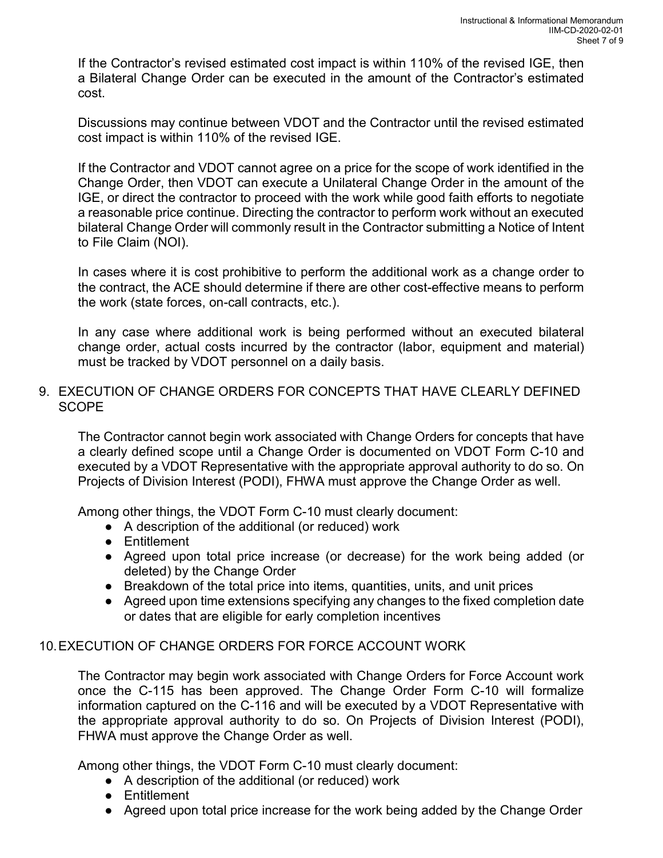If the Contractor's revised estimated cost impact is within 110% of the revised IGE, then a Bilateral Change Order can be executed in the amount of the Contractor's estimated cost.

Discussions may continue between VDOT and the Contractor until the revised estimated cost impact is within 110% of the revised IGE.

If the Contractor and VDOT cannot agree on a price for the scope of work identified in the Change Order, then VDOT can execute a Unilateral Change Order in the amount of the IGE, or direct the contractor to proceed with the work while good faith efforts to negotiate a reasonable price continue. Directing the contractor to perform work without an executed bilateral Change Order will commonly result in the Contractor submitting a Notice of Intent to File Claim (NOI).

In cases where it is cost prohibitive to perform the additional work as a change order to the contract, the ACE should determine if there are other cost-effective means to perform the work (state forces, on-call contracts, etc.).

In any case where additional work is being performed without an executed bilateral change order, actual costs incurred by the contractor (labor, equipment and material) must be tracked by VDOT personnel on a daily basis.

### 9. EXECUTION OF CHANGE ORDERS FOR CONCEPTS THAT HAVE CLEARLY DEFINED **SCOPE**

The Contractor cannot begin work associated with Change Orders for concepts that have a clearly defined scope until a Change Order is documented on VDOT Form C-10 and executed by a VDOT Representative with the appropriate approval authority to do so. On Projects of Division Interest (PODI), FHWA must approve the Change Order as well.

Among other things, the VDOT Form C-10 must clearly document:

- A description of the additional (or reduced) work
- Entitlement
- Agreed upon total price increase (or decrease) for the work being added (or deleted) by the Change Order
- Breakdown of the total price into items, quantities, units, and unit prices
- Agreed upon time extensions specifying any changes to the fixed completion date or dates that are eligible for early completion incentives

# 10. EXECUTION OF CHANGE ORDERS FOR FORCE ACCOUNT WORK

The Contractor may begin work associated with Change Orders for Force Account work once the C-115 has been approved. The Change Order Form C-10 will formalize information captured on the C-116 and will be executed by a VDOT Representative with the appropriate approval authority to do so. On Projects of Division Interest (PODI), FHWA must approve the Change Order as well.

Among other things, the VDOT Form C-10 must clearly document:

- A description of the additional (or reduced) work
- Entitlement
- Agreed upon total price increase for the work being added by the Change Order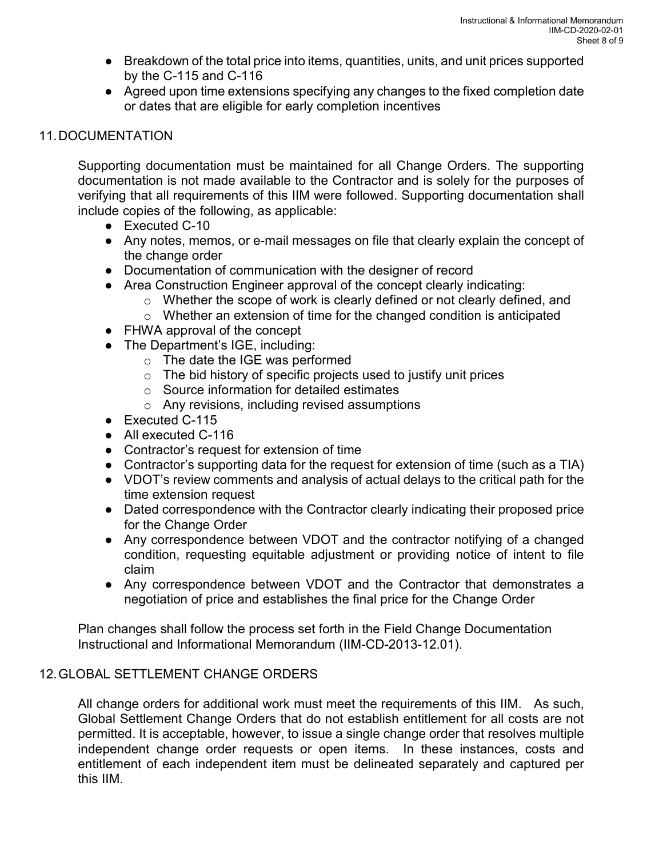- Breakdown of the total price into items, quantities, units, and unit prices supported by the C-115 and C-116
- Agreed upon time extensions specifying any changes to the fixed completion date or dates that are eligible for early completion incentives

# 11. DOCUMENTATION

 Supporting documentation must be maintained for all Change Orders. The supporting documentation is not made available to the Contractor and is solely for the purposes of verifying that all requirements of this IIM were followed. Supporting documentation shall include copies of the following, as applicable:

- Executed C-10
- Any notes, memos, or e-mail messages on file that clearly explain the concept of the change order
- Documentation of communication with the designer of record
- Area Construction Engineer approval of the concept clearly indicating:
	- o Whether the scope of work is clearly defined or not clearly defined, and
	- $\circ$  Whether an extension of time for the changed condition is anticipated
- FHWA approval of the concept
- The Department's IGE, including:
	- o The date the IGE was performed
	- $\circ$  The bid history of specific projects used to justify unit prices
	- o Source information for detailed estimates
	- o Any revisions, including revised assumptions
- Executed C-115
- All executed C-116
- Contractor's request for extension of time
- Contractor's supporting data for the request for extension of time (such as a TIA)
- VDOT's review comments and analysis of actual delays to the critical path for the time extension request
- Dated correspondence with the Contractor clearly indicating their proposed price for the Change Order
- Any correspondence between VDOT and the contractor notifying of a changed condition, requesting equitable adjustment or providing notice of intent to file claim
- Any correspondence between VDOT and the Contractor that demonstrates a negotiation of price and establishes the final price for the Change Order

Plan changes shall follow the process set forth in the Field Change Documentation Instructional and Informational Memorandum (IIM-CD-2013-12.01).

# 12. GLOBAL SETTLEMENT CHANGE ORDERS

All change orders for additional work must meet the requirements of this IIM. As such, Global Settlement Change Orders that do not establish entitlement for all costs are not permitted. It is acceptable, however, to issue a single change order that resolves multiple independent change order requests or open items. In these instances, costs and entitlement of each independent item must be delineated separately and captured per this IIM.